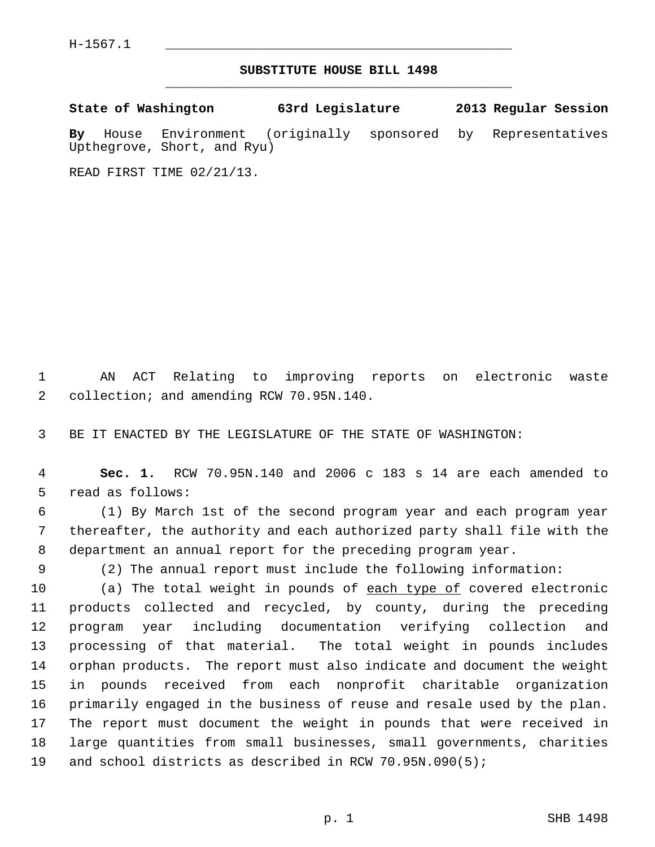## **SUBSTITUTE HOUSE BILL 1498** \_\_\_\_\_\_\_\_\_\_\_\_\_\_\_\_\_\_\_\_\_\_\_\_\_\_\_\_\_\_\_\_\_\_\_\_\_\_\_\_\_\_\_\_\_

**State of Washington 63rd Legislature 2013 Regular Session**

**By** House Environment (originally sponsored by Representatives Upthegrove, Short, and Ryu)

READ FIRST TIME 02/21/13.

 1 AN ACT Relating to improving reports on electronic waste 2 collection; and amending RCW 70.95N.140.

3 BE IT ENACTED BY THE LEGISLATURE OF THE STATE OF WASHINGTON:

 4 **Sec. 1.** RCW 70.95N.140 and 2006 c 183 s 14 are each amended to 5 read as follows:

 6 (1) By March 1st of the second program year and each program year 7 thereafter, the authority and each authorized party shall file with the 8 department an annual report for the preceding program year.

9 (2) The annual report must include the following information:

10 (a) The total weight in pounds of each type of covered electronic 11 products collected and recycled, by county, during the preceding 12 program year including documentation verifying collection and 13 processing of that material. The total weight in pounds includes 14 orphan products. The report must also indicate and document the weight 15 in pounds received from each nonprofit charitable organization 16 primarily engaged in the business of reuse and resale used by the plan. 17 The report must document the weight in pounds that were received in 18 large quantities from small businesses, small governments, charities 19 and school districts as described in RCW 70.95N.090(5);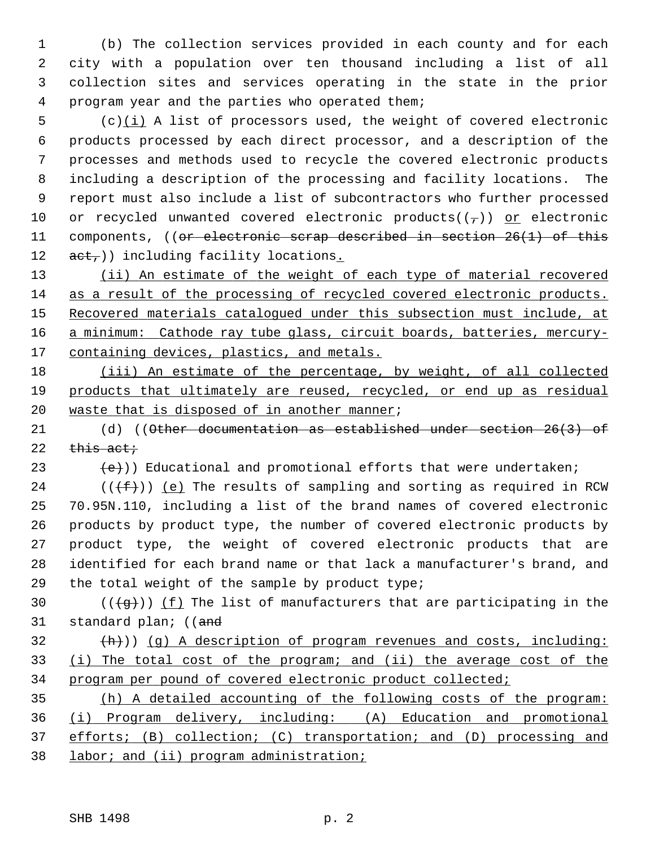1 (b) The collection services provided in each county and for each 2 city with a population over ten thousand including a list of all 3 collection sites and services operating in the state in the prior 4 program year and the parties who operated them;

 $5$  (c) $(i)$  A list of processors used, the weight of covered electronic 6 products processed by each direct processor, and a description of the 7 processes and methods used to recycle the covered electronic products 8 including a description of the processing and facility locations. The 9 report must also include a list of subcontractors who further processed 10 or recycled unwanted covered electronic products( $(\tau)$ ) or electronic 11 components, ((or electronic scrap described in section 26(1) of this 12  $act$ )) including facility locations.

 (ii) An estimate of the weight of each type of material recovered as a result of the processing of recycled covered electronic products. 15 Recovered materials catalogued under this subsection must include, at a minimum: Cathode ray tube glass, circuit boards, batteries, mercury-containing devices, plastics, and metals.

18 (iii) An estimate of the percentage, by weight, of all collected 19 products that ultimately are reused, recycled, or end up as residual 20 waste that is disposed of in another manner;

21 (d) ((Other documentation as established under section 26(3) of 22  $this$  act;

23  $(e)$ ) Educational and promotional efforts that were undertaken;

24 ( $(\{\text{f}\})$ ) (e) The results of sampling and sorting as required in RCW 25 70.95N.110, including a list of the brand names of covered electronic 26 products by product type, the number of covered electronic products by 27 product type, the weight of covered electronic products that are 28 identified for each brand name or that lack a manufacturer's brand, and 29 the total weight of the sample by product type;

30 ( $(\overline{q})$ ) (f) The list of manufacturers that are participating in the 31 standard plan; ((and

 $\{\hbox{h}\}\)$  (q) A description of program revenues and costs, including: 33 (i) The total cost of the program; and (ii) the average cost of the 34 program per pound of covered electronic product collected;

 (h) A detailed accounting of the following costs of the program: (i) Program delivery, including: (A) Education and promotional efforts; (B) collection; (C) transportation; and (D) processing and labor; and (ii) program administration;